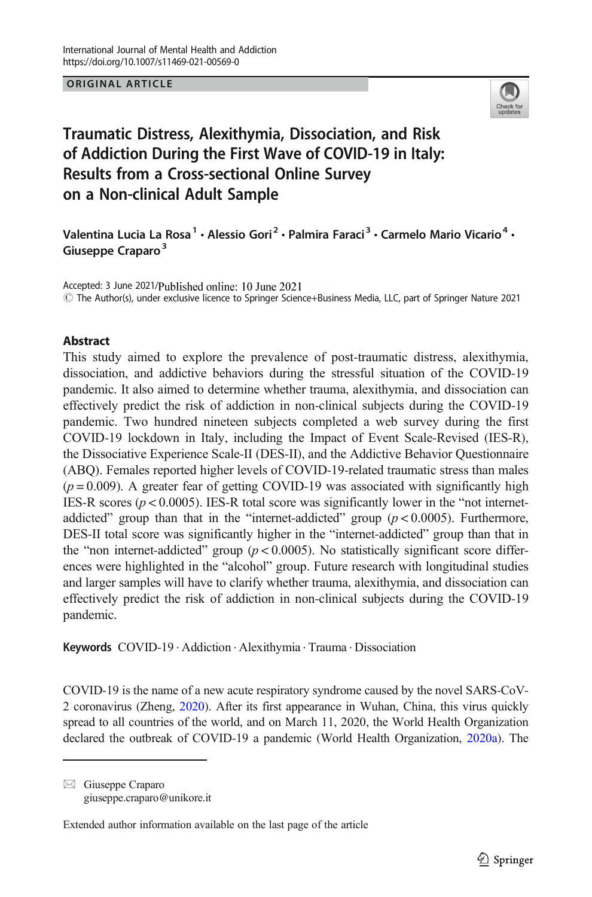## ORIGINAL ARTICLE



# Traumatic Distress, Alexithymia, Dissociation, and Risk of Addiction During the First Wave of COVID-19 in Italy: Results from a Cross-sectional Online Survey on a Non-clinical Adult Sample

Valentina Lucia La Rosa<sup>1</sup> • Alessio Gori<sup>2</sup> • Palmira Faraci<sup>3</sup> • Carmelo Mario Vicario<sup>4</sup> • Giuseppe Craparo<sup>3</sup>

Accepted: 3 June 2021/Published online: 10 June 2021 # The Author(s), under exclusive licence to Springer Science+Business Media, LLC, part of Springer Nature 2021

## Abstract

This study aimed to explore the prevalence of post-traumatic distress, alexithymia, dissociation, and addictive behaviors during the stressful situation of the COVID-19 pandemic. It also aimed to determine whether trauma, alexithymia, and dissociation can effectively predict the risk of addiction in non-clinical subjects during the COVID-19 pandemic. Two hundred nineteen subjects completed a web survey during the first COVID-19 lockdown in Italy, including the Impact of Event Scale-Revised (IES-R), the Dissociative Experience Scale-II (DES-II), and the Addictive Behavior Questionnaire (ABQ). Females reported higher levels of COVID-19-related traumatic stress than males  $(p = 0.009)$ . A greater fear of getting COVID-19 was associated with significantly high IES-R scores ( $p < 0.0005$ ). IES-R total score was significantly lower in the "not internetaddicted" group than that in the "internet-addicted" group  $(p < 0.0005)$ . Furthermore, DES-II total score was significantly higher in the "internet-addicted" group than that in the "non internet-addicted" group ( $p < 0.0005$ ). No statistically significant score differences were highlighted in the "alcohol" group. Future research with longitudinal studies and larger samples will have to clarify whether trauma, alexithymia, and dissociation can effectively predict the risk of addiction in non-clinical subjects during the COVID-19 pandemic.

Keywords COVID-19 . Addiction . Alexithymia . Trauma . Dissociation

COVID-19 is the name of a new acute respiratory syndrome caused by the novel SARS-CoV-2 coronavirus (Zheng, [2020\)](#page-16-0). After its first appearance in Wuhan, China, this virus quickly spread to all countries of the world, and on March 11, 2020, the World Health Organization declared the outbreak of COVID-19 a pandemic (World Health Organization, [2020a](#page-15-0)). The

 $\boxtimes$  Giuseppe Craparo [giuseppe.craparo@unikore.it](mailto:giuseppe.craparo@unikore.it)

Extended author information available on the last page of the article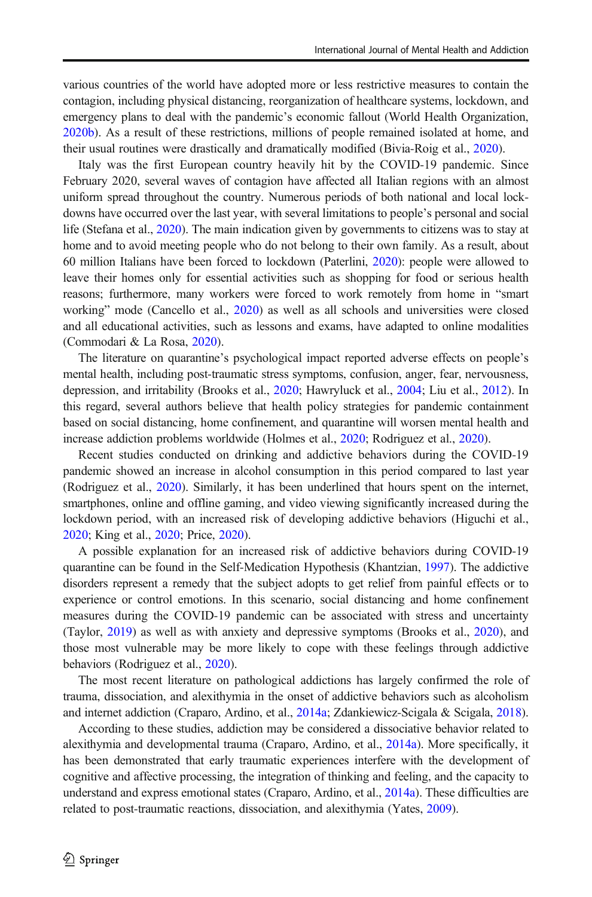various countries of the world have adopted more or less restrictive measures to contain the contagion, including physical distancing, reorganization of healthcare systems, lockdown, and emergency plans to deal with the pandemic's economic fallout (World Health Organization, [2020b\)](#page-15-0). As a result of these restrictions, millions of people remained isolated at home, and their usual routines were drastically and dramatically modified (Bivia-Roig et al., [2020](#page-13-0)).

Italy was the first European country heavily hit by the COVID-19 pandemic. Since February 2020, several waves of contagion have affected all Italian regions with an almost uniform spread throughout the country. Numerous periods of both national and local lockdowns have occurred over the last year, with several limitations to people's personal and social life (Stefana et al., [2020\)](#page-15-0). The main indication given by governments to citizens was to stay at home and to avoid meeting people who do not belong to their own family. As a result, about 60 million Italians have been forced to lockdown (Paterlini, [2020](#page-15-0)): people were allowed to leave their homes only for essential activities such as shopping for food or serious health reasons; furthermore, many workers were forced to work remotely from home in "smart working" mode (Cancello et al., [2020](#page-14-0)) as well as all schools and universities were closed and all educational activities, such as lessons and exams, have adapted to online modalities (Commodari & La Rosa, [2020](#page-14-0)).

The literature on quarantine's psychological impact reported adverse effects on people's mental health, including post-traumatic stress symptoms, confusion, anger, fear, nervousness, depression, and irritability (Brooks et al., [2020;](#page-13-0) Hawryluck et al., [2004](#page-14-0); Liu et al., [2012\)](#page-14-0). In this regard, several authors believe that health policy strategies for pandemic containment based on social distancing, home confinement, and quarantine will worsen mental health and increase addiction problems worldwide (Holmes et al., [2020](#page-14-0); Rodriguez et al., [2020](#page-15-0)).

Recent studies conducted on drinking and addictive behaviors during the COVID-19 pandemic showed an increase in alcohol consumption in this period compared to last year (Rodriguez et al., [2020\)](#page-15-0). Similarly, it has been underlined that hours spent on the internet, smartphones, online and offline gaming, and video viewing significantly increased during the lockdown period, with an increased risk of developing addictive behaviors (Higuchi et al., [2020](#page-14-0); King et al., [2020;](#page-14-0) Price, [2020](#page-15-0)).

A possible explanation for an increased risk of addictive behaviors during COVID-19 quarantine can be found in the Self-Medication Hypothesis (Khantzian, [1997\)](#page-14-0). The addictive disorders represent a remedy that the subject adopts to get relief from painful effects or to experience or control emotions. In this scenario, social distancing and home confinement measures during the COVID-19 pandemic can be associated with stress and uncertainty (Taylor, [2019](#page-15-0)) as well as with anxiety and depressive symptoms (Brooks et al., [2020\)](#page-13-0), and those most vulnerable may be more likely to cope with these feelings through addictive behaviors (Rodriguez et al., [2020\)](#page-15-0).

The most recent literature on pathological addictions has largely confirmed the role of trauma, dissociation, and alexithymia in the onset of addictive behaviors such as alcoholism and internet addiction (Craparo, Ardino, et al., [2014a;](#page-14-0) Zdankiewicz-Scigala & Scigala, [2018](#page-15-0)).

According to these studies, addiction may be considered a dissociative behavior related to alexithymia and developmental trauma (Craparo, Ardino, et al., [2014a](#page-14-0)). More specifically, it has been demonstrated that early traumatic experiences interfere with the development of cognitive and affective processing, the integration of thinking and feeling, and the capacity to understand and express emotional states (Craparo, Ardino, et al., [2014a](#page-14-0)). These difficulties are related to post-traumatic reactions, dissociation, and alexithymia (Yates, [2009](#page-15-0)).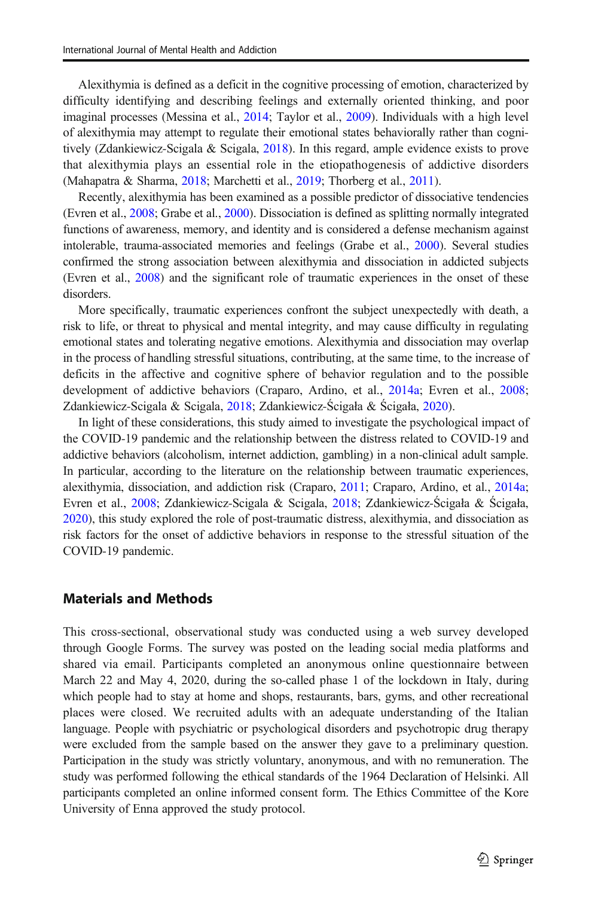Alexithymia is defined as a deficit in the cognitive processing of emotion, characterized by difficulty identifying and describing feelings and externally oriented thinking, and poor imaginal processes (Messina et al., [2014;](#page-15-0) Taylor et al., [2009\)](#page-15-0). Individuals with a high level of alexithymia may attempt to regulate their emotional states behaviorally rather than cogni-tively (Zdankiewicz-Scigala & Scigala, [2018](#page-15-0)). In this regard, ample evidence exists to prove that alexithymia plays an essential role in the etiopathogenesis of addictive disorders (Mahapatra & Sharma, [2018](#page-15-0); Marchetti et al., [2019;](#page-15-0) Thorberg et al., [2011\)](#page-15-0).

Recently, alexithymia has been examined as a possible predictor of dissociative tendencies (Evren et al., [2008;](#page-14-0) Grabe et al., [2000](#page-14-0)). Dissociation is defined as splitting normally integrated functions of awareness, memory, and identity and is considered a defense mechanism against intolerable, trauma-associated memories and feelings (Grabe et al., [2000](#page-14-0)). Several studies confirmed the strong association between alexithymia and dissociation in addicted subjects (Evren et al., [2008\)](#page-14-0) and the significant role of traumatic experiences in the onset of these disorders.

More specifically, traumatic experiences confront the subject unexpectedly with death, a risk to life, or threat to physical and mental integrity, and may cause difficulty in regulating emotional states and tolerating negative emotions. Alexithymia and dissociation may overlap in the process of handling stressful situations, contributing, at the same time, to the increase of deficits in the affective and cognitive sphere of behavior regulation and to the possible development of addictive behaviors (Craparo, Ardino, et al., [2014a](#page-14-0); Evren et al., [2008](#page-14-0); Zdankiewicz-Scigala & Scigala, [2018](#page-15-0); Zdankiewicz-Ścigała & Ścigała, [2020\)](#page-16-0).

In light of these considerations, this study aimed to investigate the psychological impact of the COVID-19 pandemic and the relationship between the distress related to COVID-19 and addictive behaviors (alcoholism, internet addiction, gambling) in a non-clinical adult sample. In particular, according to the literature on the relationship between traumatic experiences, alexithymia, dissociation, and addiction risk (Craparo, [2011](#page-14-0); Craparo, Ardino, et al., [2014a](#page-14-0); Evren et al., [2008](#page-14-0); Zdankiewicz-Scigala & Scigala, [2018](#page-15-0); Zdankiewicz-Ścigała & Ścigała, [2020](#page-16-0)), this study explored the role of post-traumatic distress, alexithymia, and dissociation as risk factors for the onset of addictive behaviors in response to the stressful situation of the COVID-19 pandemic.

## Materials and Methods

This cross-sectional, observational study was conducted using a web survey developed through Google Forms. The survey was posted on the leading social media platforms and shared via email. Participants completed an anonymous online questionnaire between March 22 and May 4, 2020, during the so-called phase 1 of the lockdown in Italy, during which people had to stay at home and shops, restaurants, bars, gyms, and other recreational places were closed. We recruited adults with an adequate understanding of the Italian language. People with psychiatric or psychological disorders and psychotropic drug therapy were excluded from the sample based on the answer they gave to a preliminary question. Participation in the study was strictly voluntary, anonymous, and with no remuneration. The study was performed following the ethical standards of the 1964 Declaration of Helsinki. All participants completed an online informed consent form. The Ethics Committee of the Kore University of Enna approved the study protocol.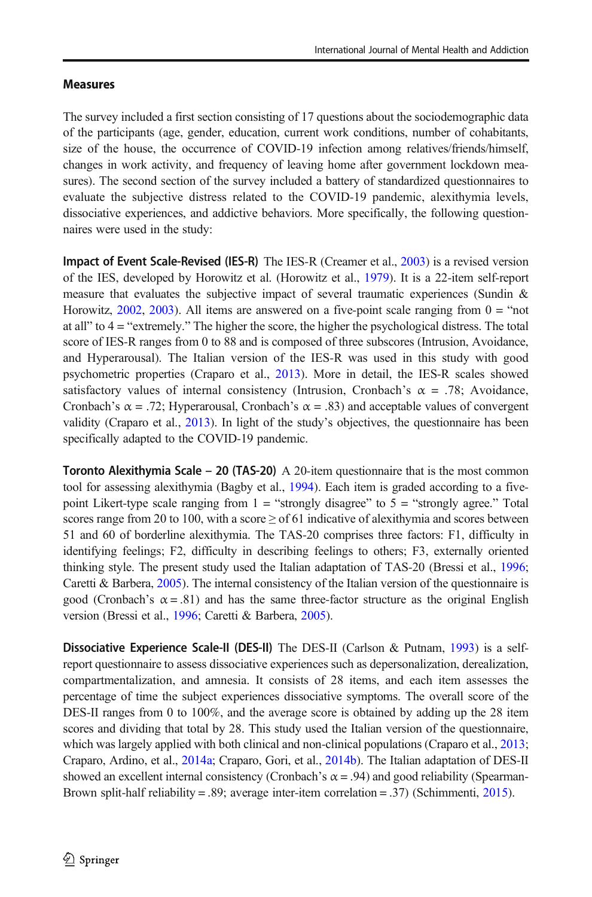# Measures

The survey included a first section consisting of 17 questions about the sociodemographic data of the participants (age, gender, education, current work conditions, number of cohabitants, size of the house, the occurrence of COVID-19 infection among relatives/friends/himself, changes in work activity, and frequency of leaving home after government lockdown measures). The second section of the survey included a battery of standardized questionnaires to evaluate the subjective distress related to the COVID-19 pandemic, alexithymia levels, dissociative experiences, and addictive behaviors. More specifically, the following questionnaires were used in the study:

Impact of Event Scale-Revised (IES-R) The IES-R (Creamer et al., [2003](#page-14-0)) is a revised version of the IES, developed by Horowitz et al. (Horowitz et al., [1979\)](#page-14-0). It is a 22-item self-report measure that evaluates the subjective impact of several traumatic experiences (Sundin & Horowitz,  $2002$ ,  $2003$ ). All items are answered on a five-point scale ranging from  $0 =$  "not at all" to  $4 =$  "extremely." The higher the score, the higher the psychological distress. The total score of IES-R ranges from 0 to 88 and is composed of three subscores (Intrusion, Avoidance, and Hyperarousal). The Italian version of the IES-R was used in this study with good psychometric properties (Craparo et al., [2013](#page-14-0)). More in detail, the IES-R scales showed satisfactory values of internal consistency (Intrusion, Cronbach's  $\alpha = .78$ ; Avoidance, Cronbach's  $\alpha = .72$ ; Hyperarousal, Cronbach's  $\alpha = .83$ ) and acceptable values of convergent validity (Craparo et al., [2013](#page-14-0)). In light of the study's objectives, the questionnaire has been specifically adapted to the COVID-19 pandemic.

**Toronto Alexithymia Scale – 20 (TAS-20)** A 20-item questionnaire that is the most common tool for assessing alexithymia (Bagby et al., [1994](#page-13-0)). Each item is graded according to a fivepoint Likert-type scale ranging from  $1 =$  "strongly disagree" to  $5 =$  "strongly agree." Total scores range from 20 to 100, with a score  $\geq$  of 61 indicative of alexithymia and scores between 51 and 60 of borderline alexithymia. The TAS-20 comprises three factors: F1, difficulty in identifying feelings; F2, difficulty in describing feelings to others; F3, externally oriented thinking style. The present study used the Italian adaptation of TAS-20 (Bressi et al., [1996](#page-13-0); Caretti & Barbera, [2005](#page-14-0)). The internal consistency of the Italian version of the questionnaire is good (Cronbach's  $\alpha = .81$ ) and has the same three-factor structure as the original English version (Bressi et al., [1996;](#page-13-0) Caretti & Barbera, [2005](#page-14-0)).

**Dissociative Experience Scale-II (DES-II)** The DES-II (Carlson  $\&$  Putnam, [1993\)](#page-14-0) is a selfreport questionnaire to assess dissociative experiences such as depersonalization, derealization, compartmentalization, and amnesia. It consists of 28 items, and each item assesses the percentage of time the subject experiences dissociative symptoms. The overall score of the DES-II ranges from 0 to 100%, and the average score is obtained by adding up the 28 item scores and dividing that total by 28. This study used the Italian version of the questionnaire, which was largely applied with both clinical and non-clinical populations (Craparo et al., [2013](#page-14-0); Craparo, Ardino, et al., [2014a](#page-14-0); Craparo, Gori, et al., [2014b\)](#page-14-0). The Italian adaptation of DES-II showed an excellent internal consistency (Cronbach's  $\alpha$  = .94) and good reliability (Spearman-Brown split-half reliability = .89; average inter-item correlation = .37) (Schimmenti, [2015](#page-15-0)).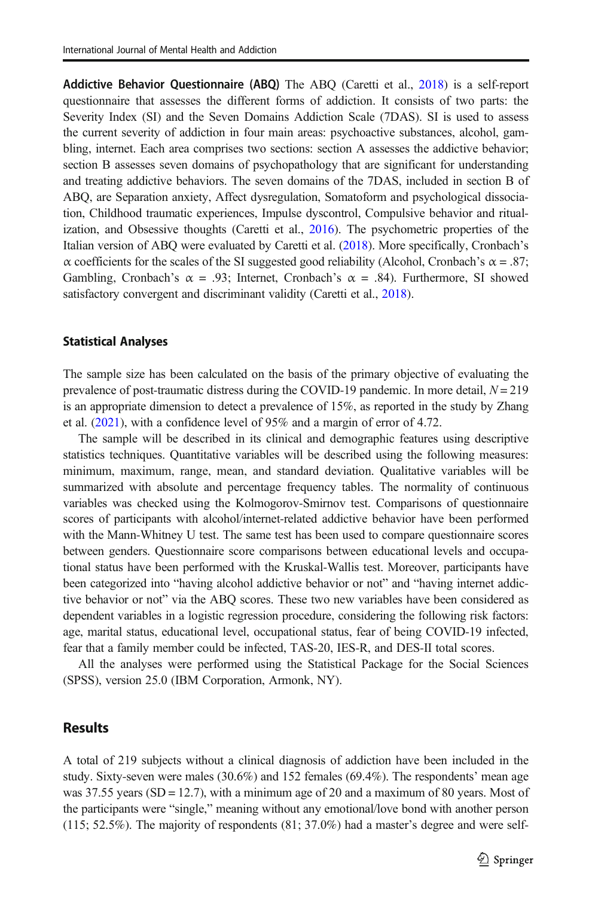Addictive Behavior Questionnaire (ABQ) The ABQ (Caretti et al., [2018\)](#page-14-0) is a self-report questionnaire that assesses the different forms of addiction. It consists of two parts: the Severity Index (SI) and the Seven Domains Addiction Scale (7DAS). SI is used to assess the current severity of addiction in four main areas: psychoactive substances, alcohol, gambling, internet. Each area comprises two sections: section A assesses the addictive behavior; section B assesses seven domains of psychopathology that are significant for understanding and treating addictive behaviors. The seven domains of the 7DAS, included in section B of ABQ, are Separation anxiety, Affect dysregulation, Somatoform and psychological dissociation, Childhood traumatic experiences, Impulse dyscontrol, Compulsive behavior and ritualization, and Obsessive thoughts (Caretti et al., [2016](#page-14-0)). The psychometric properties of the Italian version of ABQ were evaluated by Caretti et al. ([2018](#page-14-0)). More specifically, Cronbach's α coefficients for the scales of the SI suggested good reliability (Alcohol, Cronbach's α = .87; Gambling, Cronbach's  $\alpha = .93$ ; Internet, Cronbach's  $\alpha = .84$ ). Furthermore, SI showed satisfactory convergent and discriminant validity (Caretti et al., [2018](#page-14-0)).

#### Statistical Analyses

The sample size has been calculated on the basis of the primary objective of evaluating the prevalence of post-traumatic distress during the COVID-19 pandemic. In more detail,  $N = 219$ is an appropriate dimension to detect a prevalence of 15%, as reported in the study by Zhang et al. ([2021](#page-16-0)), with a confidence level of 95% and a margin of error of 4.72.

The sample will be described in its clinical and demographic features using descriptive statistics techniques. Quantitative variables will be described using the following measures: minimum, maximum, range, mean, and standard deviation. Qualitative variables will be summarized with absolute and percentage frequency tables. The normality of continuous variables was checked using the Kolmogorov-Smirnov test. Comparisons of questionnaire scores of participants with alcohol/internet-related addictive behavior have been performed with the Mann-Whitney U test. The same test has been used to compare questionnaire scores between genders. Questionnaire score comparisons between educational levels and occupational status have been performed with the Kruskal-Wallis test. Moreover, participants have been categorized into "having alcohol addictive behavior or not" and "having internet addictive behavior or not" via the ABQ scores. These two new variables have been considered as dependent variables in a logistic regression procedure, considering the following risk factors: age, marital status, educational level, occupational status, fear of being COVID-19 infected, fear that a family member could be infected, TAS-20, IES-R, and DES-II total scores.

All the analyses were performed using the Statistical Package for the Social Sciences (SPSS), version 25.0 (IBM Corporation, Armonk, NY).

# **Results**

A total of 219 subjects without a clinical diagnosis of addiction have been included in the study. Sixty-seven were males (30.6%) and 152 females (69.4%). The respondents' mean age was 37.55 years (SD = 12.7), with a minimum age of 20 and a maximum of 80 years. Most of the participants were "single," meaning without any emotional/love bond with another person (115; 52.5%). The majority of respondents (81; 37.0%) had a master's degree and were self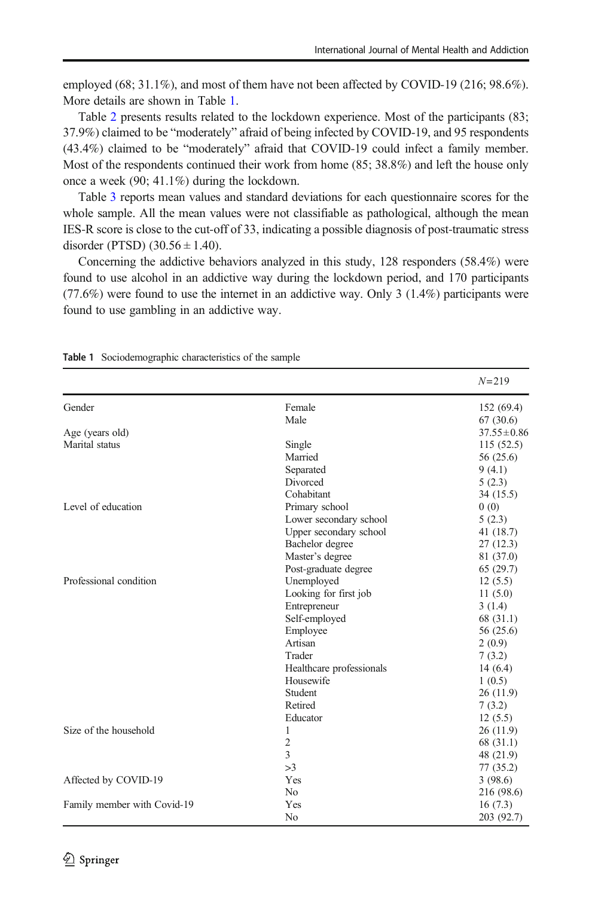employed (68; 31.1%), and most of them have not been affected by COVID-19 (216; 98.6%). More details are shown in Table 1.

Table [2](#page-6-0) presents results related to the lockdown experience. Most of the participants (83; 37.9%) claimed to be "moderately" afraid of being infected by COVID-19, and 95 respondents (43.4%) claimed to be "moderately" afraid that COVID-19 could infect a family member. Most of the respondents continued their work from home (85; 38.8%) and left the house only once a week (90; 41.1%) during the lockdown.

Table [3](#page-6-0) reports mean values and standard deviations for each questionnaire scores for the whole sample. All the mean values were not classifiable as pathological, although the mean IES-R score is close to the cut-off of 33, indicating a possible diagnosis of post-traumatic stress disorder (PTSD)  $(30.56 \pm 1.40)$ .

Concerning the addictive behaviors analyzed in this study, 128 responders (58.4%) were found to use alcohol in an addictive way during the lockdown period, and 170 participants (77.6%) were found to use the internet in an addictive way. Only 3 (1.4%) participants were found to use gambling in an addictive way.

|                             |                          | $N = 219$        |
|-----------------------------|--------------------------|------------------|
| Gender                      | Female                   | 152 (69.4)       |
|                             | Male                     | 67(30.6)         |
| Age (years old)             |                          | $37.55 \pm 0.86$ |
| Marital status              | Single                   | 115(52.5)        |
|                             | Married                  | 56 (25.6)        |
|                             | Separated                | 9(4.1)           |
|                             | Divorced                 | 5(2.3)           |
|                             | Cohabitant               | 34 (15.5)        |
| Level of education          | Primary school           | 0(0)             |
|                             | Lower secondary school   | 5(2.3)           |
|                             | Upper secondary school   | 41 (18.7)        |
|                             | Bachelor degree          | 27(12.3)         |
|                             | Master's degree          | 81 (37.0)        |
|                             | Post-graduate degree     | 65(29.7)         |
| Professional condition      | Unemployed               | 12(5.5)          |
|                             | Looking for first job    | 11(5.0)          |
|                             | Entrepreneur             | 3(1.4)           |
|                             | Self-employed            | 68 (31.1)        |
|                             | Employee                 | 56 (25.6)        |
|                             | Artisan                  | 2(0.9)           |
|                             | Trader                   | 7(3.2)           |
|                             | Healthcare professionals | 14(6.4)          |
|                             | Housewife                | 1(0.5)           |
|                             | Student                  | 26(11.9)         |
|                             | Retired                  | 7(3.2)           |
|                             | Educator                 | 12(5.5)          |
| Size of the household       | 1                        | 26(11.9)         |
|                             | $\overline{2}$           | 68 (31.1)        |
|                             | 3                        | 48 (21.9)        |
|                             | >3                       | 77 (35.2)        |
| Affected by COVID-19        | Yes                      | 3(98.6)          |
|                             | N <sub>0</sub>           | 216 (98.6)       |
| Family member with Covid-19 | Yes                      | 16(7.3)          |
|                             | No                       | 203 (92.7)       |

Table 1 Sociodemographic characteristics of the sample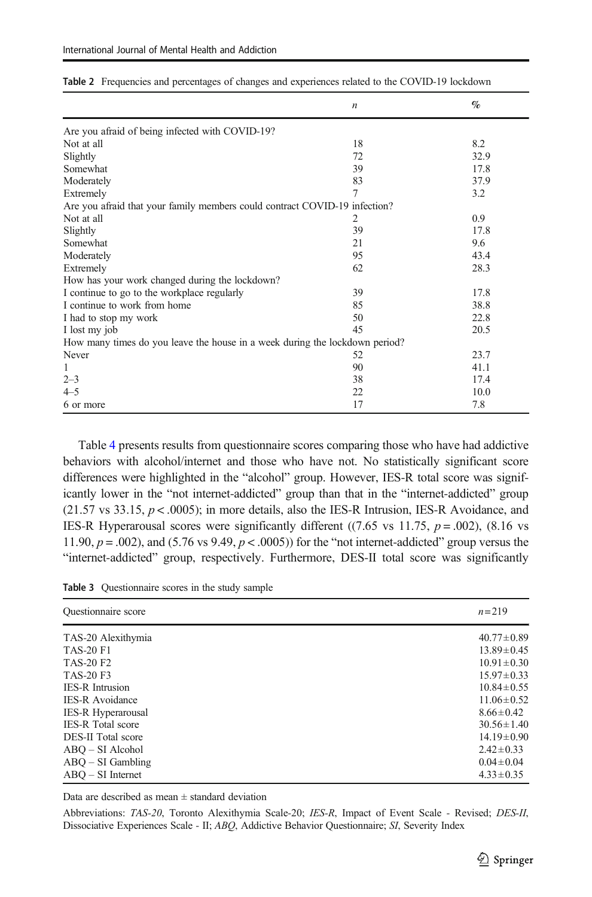|                                                                             | $\boldsymbol{n}$ | $\%$ |
|-----------------------------------------------------------------------------|------------------|------|
| Are you afraid of being infected with COVID-19?                             |                  |      |
| Not at all                                                                  | 18               | 8.2  |
| Slightly                                                                    | 72               | 32.9 |
| Somewhat                                                                    | 39               | 17.8 |
| Moderately                                                                  | 83               | 37.9 |
| Extremely                                                                   | 7                | 3.2  |
| Are you afraid that your family members could contract COVID-19 infection?  |                  |      |
| Not at all                                                                  | 2                | 0.9  |
| Slightly                                                                    | 39               | 17.8 |
| Somewhat                                                                    | 21               | 9.6  |
| Moderately                                                                  | 95               | 43.4 |
| Extremely                                                                   | 62               | 28.3 |
| How has your work changed during the lockdown?                              |                  |      |
| I continue to go to the workplace regularly                                 | 39               | 17.8 |
| I continue to work from home                                                | 85               | 38.8 |
| I had to stop my work                                                       | 50               | 22.8 |
| I lost my job                                                               | 45               | 20.5 |
| How many times do you leave the house in a week during the lockdown period? |                  |      |
| Never                                                                       | 52               | 23.7 |
| 1                                                                           | 90               | 41.1 |
| $2 - 3$                                                                     | 38               | 17.4 |
| $4 - 5$                                                                     | 22               | 10.0 |
| 6 or more                                                                   | 17               | 7.8  |

<span id="page-6-0"></span>Table 2 Frequencies and percentages of changes and experiences related to the COVID-19 lockdown

Table [4](#page-7-0) presents results from questionnaire scores comparing those who have had addictive behaviors with alcohol/internet and those who have not. No statistically significant score differences were highlighted in the "alcohol" group. However, IES-R total score was significantly lower in the "not internet-addicted" group than that in the "internet-addicted" group  $(21.57 \text{ vs } 33.15, p < .0005)$ ; in more details, also the IES-R Intrusion, IES-R Avoidance, and IES-R Hyperarousal scores were significantly different ((7.65 vs 11.75,  $p = .002$ ), (8.16 vs 11.90,  $p = .002$ ), and (5.76 vs 9.49,  $p < .0005$ )) for the "not internet-addicted" group versus the "internet-addicted" group, respectively. Furthermore, DES-II total score was significantly

Table 3 Questionnaire scores in the study sample

| <b>Ouestionnaire</b> score | $n = 219$        |
|----------------------------|------------------|
| TAS-20 Alexithymia         | $40.77 \pm 0.89$ |
| <b>TAS-20 F1</b>           | $13.89 \pm 0.45$ |
| <b>TAS-20 F2</b>           | $10.91 \pm 0.30$ |
| <b>TAS-20 F3</b>           | $15.97 \pm 0.33$ |
| <b>IES-R</b> Intrusion     | $10.84 \pm 0.55$ |
| <b>IES-R</b> Avoidance     | $11.06 \pm 0.52$ |
| <b>IES-R Hyperarousal</b>  | $8.66 \pm 0.42$  |
| <b>IES-R</b> Total score   | $30.56 \pm 1.40$ |
| <b>DES-II</b> Total score  | $14.19 \pm 0.90$ |
| $ABO - SI$ Alcohol         | $2.42 \pm 0.33$  |
| $ABO - SI$ Gambling        | $0.04 \pm 0.04$  |
| $ABO - SI$ Internet        | $4.33 \pm 0.35$  |

Data are described as mean  $\pm$  standard deviation

Abbreviations: TAS-20, Toronto Alexithymia Scale-20; IES-R, Impact of Event Scale - Revised; DES-II, Dissociative Experiences Scale - II; ABQ, Addictive Behavior Questionnaire; SI, Severity Index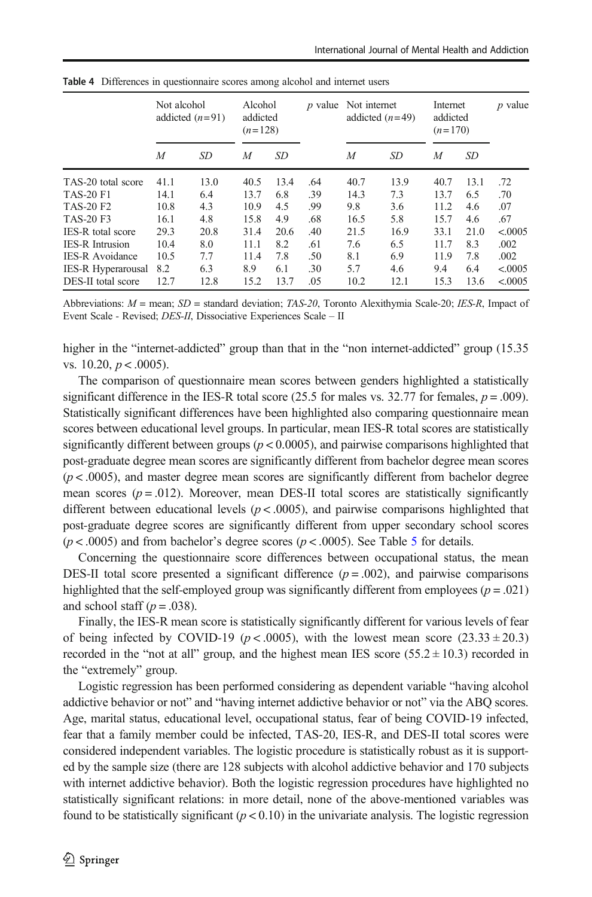|                          | Not alcohol | addicted $(n=91)$ | Alcohol<br>addicted<br>$(n=128)$ |      | <i>p</i> value | Not internet | addicted $(n=49)$ | Internet<br>addicted<br>$(n=170)$ |      | $p$ value |
|--------------------------|-------------|-------------------|----------------------------------|------|----------------|--------------|-------------------|-----------------------------------|------|-----------|
|                          | M           | SD.               | M                                | SD   |                | M            | SD                | M                                 | SD   |           |
| TAS-20 total score       | 41.1        | 13.0              | 40.5                             | 13.4 | .64            | 40.7         | 13.9              | 40.7                              | 13.1 | .72       |
| <b>TAS-20 F1</b>         | 14.1        | 6.4               | 13.7                             | 6.8  | .39            | 14.3         | 7.3               | 13.7                              | 6.5  | .70       |
| <b>TAS-20 F2</b>         | 10.8        | 4.3               | 10.9                             | 4.5  | .99            | 9.8          | 3.6               | 11.2                              | 4.6  | .07       |
| <b>TAS-20 F3</b>         | 16.1        | 4.8               | 15.8                             | 4.9  | .68            | 16.5         | 5.8               | 15.7                              | 4.6  | .67       |
| <b>IES-R</b> total score | 29.3        | 20.8              | 31.4                             | 20.6 | .40            | 21.5         | 16.9              | 33.1                              | 21.0 | < 0005    |
| <b>IES-R</b> Intrusion   | 10.4        | 8.0               | 11.1                             | 8.2  | .61            | 7.6          | 6.5               | 11.7                              | 8.3  | .002      |
| <b>IES-R</b> Avoidance   | 10.5        | 7.7               | 11.4                             | 7.8  | .50            | 8.1          | 6.9               | 11.9                              | 7.8  | .002      |
| IES-R Hyperarousal       | 8.2         | 6.3               | 8.9                              | 6.1  | .30            | 5.7          | 4.6               | 9.4                               | 6.4  | < 0.0005  |
| DES-II total score       | 12.7        | 12.8              | 15.2                             | 13.7 | .05            | 10.2         | 12.1              | 15.3                              | 13.6 | < 0.0005  |

<span id="page-7-0"></span>Table 4 Differences in questionnaire scores among alcohol and internet users

Abbreviations:  $M =$  mean;  $SD =$  standard deviation; TAS-20, Toronto Alexithymia Scale-20; IES-R, Impact of Event Scale - Revised; DES-II, Dissociative Experiences Scale – II

higher in the "internet-addicted" group than that in the "non internet-addicted" group (15.35) vs.  $10.20, p < .0005$ ).

The comparison of questionnaire mean scores between genders highlighted a statistically significant difference in the IES-R total score (25.5 for males vs. 32.77 for females,  $p = .009$ ). Statistically significant differences have been highlighted also comparing questionnaire mean scores between educational level groups. In particular, mean IES-R total scores are statistically significantly different between groups ( $p < 0.0005$ ), and pairwise comparisons highlighted that post-graduate degree mean scores are significantly different from bachelor degree mean scores  $(p < .0005)$ , and master degree mean scores are significantly different from bachelor degree mean scores  $(p = .012)$ . Moreover, mean DES-II total scores are statistically significantly different between educational levels  $(p < .0005)$ , and pairwise comparisons highlighted that post-graduate degree scores are significantly different from upper secondary school scores  $(p < .0005)$  $(p < .0005)$  $(p < .0005)$  and from bachelor's degree scores  $(p < .0005)$ . See Table 5 for details.

Concerning the questionnaire score differences between occupational status, the mean DES-II total score presented a significant difference  $(p = .002)$ , and pairwise comparisons highlighted that the self-employed group was significantly different from employees ( $p = .021$ ) and school staff ( $p = .038$ ).

Finally, the IES-R mean score is statistically significantly different for various levels of fear of being infected by COVID-19 ( $p < .0005$ ), with the lowest mean score (23.33  $\pm$  20.3) recorded in the "not at all" group, and the highest mean IES score  $(55.2 \pm 10.3)$  recorded in the "extremely" group.

Logistic regression has been performed considering as dependent variable "having alcohol addictive behavior or not" and "having internet addictive behavior or not" via the ABQ scores. Age, marital status, educational level, occupational status, fear of being COVID-19 infected, fear that a family member could be infected, TAS-20, IES-R, and DES-II total scores were considered independent variables. The logistic procedure is statistically robust as it is supported by the sample size (there are 128 subjects with alcohol addictive behavior and 170 subjects with internet addictive behavior). Both the logistic regression procedures have highlighted no statistically significant relations: in more detail, none of the above-mentioned variables was found to be statistically significant  $(p < 0.10)$  in the univariate analysis. The logistic regression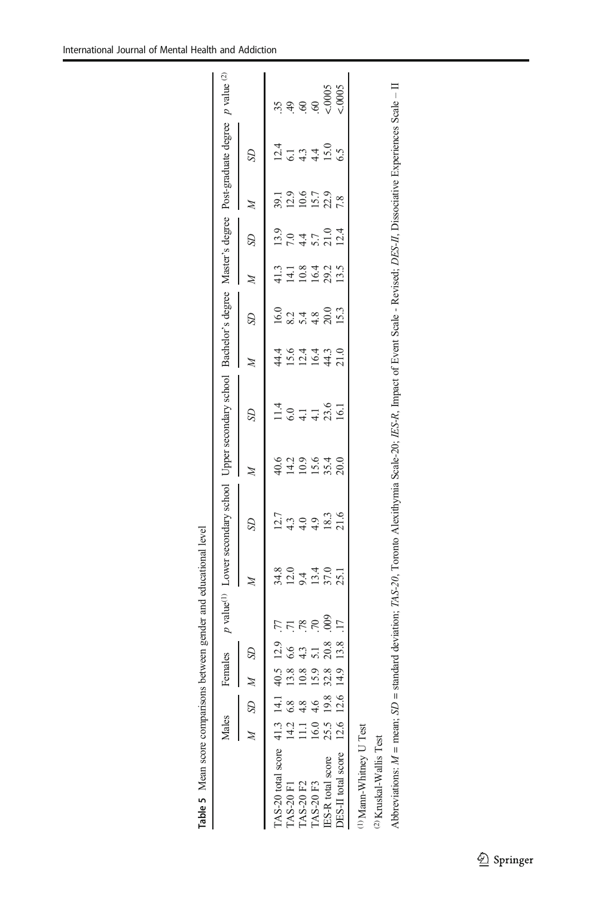<span id="page-8-0"></span>

|                                                                                                                                                                                                 | Males |                  | Females |                |                |                                              | p value <sup>(1)</sup> Lower secondary school Upper secondary school Bachelor's degree Master's degree Post-graduate degree |                        |                               |                                 |                    |                       |                    |              |                                               | $p$ value $^{(2)}$                                             |
|-------------------------------------------------------------------------------------------------------------------------------------------------------------------------------------------------|-------|------------------|---------|----------------|----------------|----------------------------------------------|-----------------------------------------------------------------------------------------------------------------------------|------------------------|-------------------------------|---------------------------------|--------------------|-----------------------|--------------------|--------------|-----------------------------------------------|----------------------------------------------------------------|
|                                                                                                                                                                                                 |       | $M$ SD $M$       |         | S <sub>D</sub> |                |                                              | SD                                                                                                                          | Ź                      | B                             |                                 | SD                 | $\lambda$             | SD                 | Þ            |                                               |                                                                |
| TAS-20 total score 41.3 14.1 40.5 12.9                                                                                                                                                          |       |                  |         |                | .77            |                                              |                                                                                                                             |                        |                               |                                 |                    |                       |                    |              |                                               | 35.                                                            |
| <b>TAS-20 F1</b>                                                                                                                                                                                |       | $14.2 \quad 6.8$ | 13.8    | 6.6            |                | 8.0<br>5.1 4.0<br>5.1 5.1 5.1<br>8.1 5.1 5.1 | $12.7$<br>4.3                                                                                                               | 40.2<br>410.9<br>410.5 | $^{11.4}_{6.0}$               | 4 5 7 7<br>4 7 7 7 7<br>4 7 7 7 | $\frac{16.0}{8.2}$ | 11181215<br>111012015 | $\frac{13.9}{7.0}$ | 39.1<br>12.9 | $124$<br>$-129$<br>$-120$<br>$-120$<br>$-120$ |                                                                |
| <b>TAS-20 F2</b>                                                                                                                                                                                |       | 1.14.8           | 10.8    | 4.3            | .78            |                                              | 4.0                                                                                                                         |                        |                               |                                 |                    |                       |                    | 10.6         |                                               | $\begin{array}{c} \mathfrak{S} \cong \mathfrak{S} \end{array}$ |
| <b>TAS-20 F3</b>                                                                                                                                                                                |       | 16.0 4.6         | 15.9    | 5.1            | .70            |                                              | 4.9                                                                                                                         |                        | $\overline{4}$ $\overline{4}$ |                                 | 5.48               |                       | $4.4$<br>5.7       | 15.7         |                                               |                                                                |
| <b>IES-R</b> total score                                                                                                                                                                        |       | 25.5 19.8        | 32.8    | 20.8           | $\frac{60}{2}$ |                                              | 18.3                                                                                                                        | 35.4                   | 23.6                          | 44.3                            | 20.0<br>15.3       |                       | 21.0               | 22.9         |                                               | $\frac{0.0005}{0.0005}$                                        |
| DES-II total score 12.6 12.6 14.                                                                                                                                                                |       |                  |         | 13.8           |                |                                              | 21.6                                                                                                                        | 20.0                   |                               | 21.0                            |                    |                       | 12.4               | 7.8          |                                               |                                                                |
| <sup>1)</sup> Mann-Whitney U Test                                                                                                                                                               |       |                  |         |                |                |                                              |                                                                                                                             |                        |                               |                                 |                    |                       |                    |              |                                               |                                                                |
| <sup>2)</sup> Kruskal-Wallis Test                                                                                                                                                               |       |                  |         |                |                |                                              |                                                                                                                             |                        |                               |                                 |                    |                       |                    |              |                                               |                                                                |
| Abbreviations: $M = \text{mean}$ , $SD = \text{standard deviation}$ ; TAS-20, Toronto Alexithymia Scale-20; IES-R, Impact of Event Scale - Revised; DES-II, Dissociative Experiences Scale - II |       |                  |         |                |                |                                              |                                                                                                                             |                        |                               |                                 |                    |                       |                    |              |                                               |                                                                |

| ï<br>ĺ                                                                               |
|--------------------------------------------------------------------------------------|
| ֖֖֖֖֖֖֖֧ׅ֖֧֪֪֪ׅ֖֧֚֚֚֚֚֚֚֚֚֚֚֚֚֚֚֚֚֚֚֚֚֚֚֚֚֚֚֚֚֚֚֚֚֚֚֡֝֝֟֓֞֝<br>i<br>i<br>I<br>I<br>I |
| $\frac{1}{2}$                                                                        |
| ı<br>l<br>۱<br>١                                                                     |
| ĺ<br>ı<br>J                                                                          |
| うくく・・・・・く きょくじょうくうそく<br>ׅ֚֚֡֡֡֬֝<br>l<br>Ï                                           |
| l                                                                                    |
| i<br>$\ddot{\phantom{a}}$<br>۱                                                       |
| ١<br>í                                                                               |

 $\underline{\textcircled{\tiny 2}}$  Springer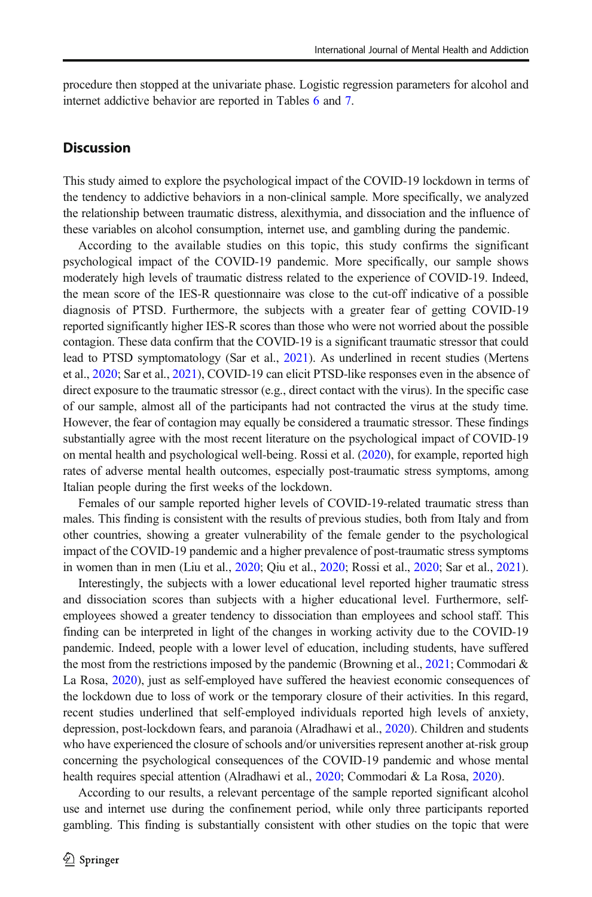procedure then stopped at the univariate phase. Logistic regression parameters for alcohol and internet addictive behavior are reported in Tables [6](#page-10-0) and [7.](#page-11-0)

#### **Discussion**

This study aimed to explore the psychological impact of the COVID-19 lockdown in terms of the tendency to addictive behaviors in a non-clinical sample. More specifically, we analyzed the relationship between traumatic distress, alexithymia, and dissociation and the influence of these variables on alcohol consumption, internet use, and gambling during the pandemic.

According to the available studies on this topic, this study confirms the significant psychological impact of the COVID-19 pandemic. More specifically, our sample shows moderately high levels of traumatic distress related to the experience of COVID-19. Indeed, the mean score of the IES-R questionnaire was close to the cut-off indicative of a possible diagnosis of PTSD. Furthermore, the subjects with a greater fear of getting COVID-19 reported significantly higher IES-R scores than those who were not worried about the possible contagion. These data confirm that the COVID-19 is a significant traumatic stressor that could lead to PTSD symptomatology (Sar et al., [2021](#page-15-0)). As underlined in recent studies (Mertens et al., [2020](#page-15-0); Sar et al., [2021\)](#page-15-0), COVID-19 can elicit PTSD-like responses even in the absence of direct exposure to the traumatic stressor (e.g., direct contact with the virus). In the specific case of our sample, almost all of the participants had not contracted the virus at the study time. However, the fear of contagion may equally be considered a traumatic stressor. These findings substantially agree with the most recent literature on the psychological impact of COVID-19 on mental health and psychological well-being. Rossi et al. ([2020](#page-15-0)), for example, reported high rates of adverse mental health outcomes, especially post-traumatic stress symptoms, among Italian people during the first weeks of the lockdown.

Females of our sample reported higher levels of COVID-19-related traumatic stress than males. This finding is consistent with the results of previous studies, both from Italy and from other countries, showing a greater vulnerability of the female gender to the psychological impact of the COVID-19 pandemic and a higher prevalence of post-traumatic stress symptoms in women than in men (Liu et al., [2020](#page-15-0); Qiu et al., [2020](#page-15-0); Rossi et al., [2020;](#page-15-0) Sar et al., [2021](#page-15-0)).

Interestingly, the subjects with a lower educational level reported higher traumatic stress and dissociation scores than subjects with a higher educational level. Furthermore, selfemployees showed a greater tendency to dissociation than employees and school staff. This finding can be interpreted in light of the changes in working activity due to the COVID-19 pandemic. Indeed, people with a lower level of education, including students, have suffered the most from the restrictions imposed by the pandemic (Browning et al., [2021](#page-13-0); Commodari  $\&$ La Rosa, [2020\)](#page-14-0), just as self-employed have suffered the heaviest economic consequences of the lockdown due to loss of work or the temporary closure of their activities. In this regard, recent studies underlined that self-employed individuals reported high levels of anxiety, depression, post-lockdown fears, and paranoia (Alradhawi et al., [2020\)](#page-13-0). Children and students who have experienced the closure of schools and/or universities represent another at-risk group concerning the psychological consequences of the COVID-19 pandemic and whose mental health requires special attention (Alradhawi et al., [2020;](#page-13-0) Commodari & La Rosa, [2020](#page-14-0)).

According to our results, a relevant percentage of the sample reported significant alcohol use and internet use during the confinement period, while only three participants reported gambling. This finding is substantially consistent with other studies on the topic that were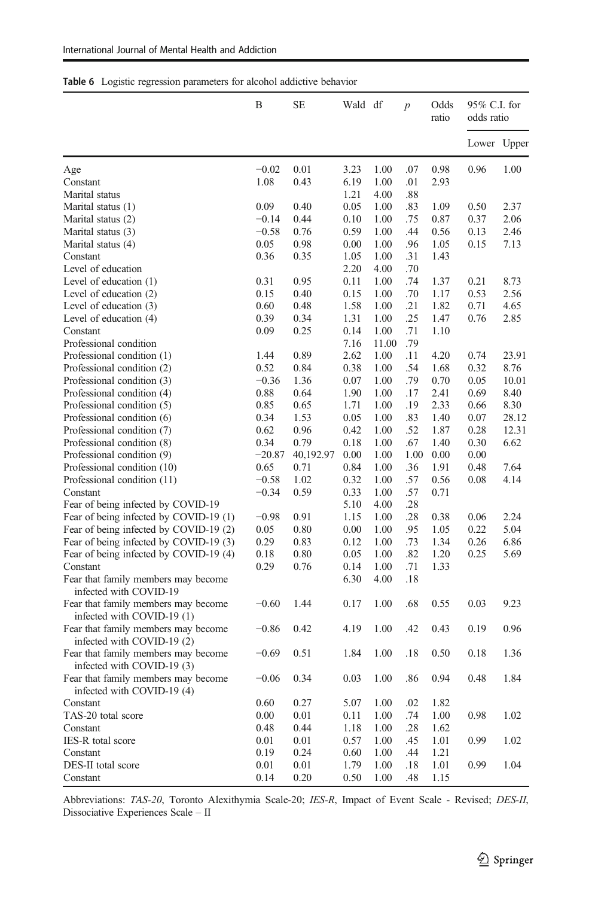<span id="page-10-0"></span>

|  |  |  | Table 6 Logistic regression parameters for alcohol addictive behavior |  |  |  |  |
|--|--|--|-----------------------------------------------------------------------|--|--|--|--|
|--|--|--|-----------------------------------------------------------------------|--|--|--|--|

|                                                                                                 | B        | <b>SE</b> | Wald df |       | $\overline{p}$ | Odds<br>ratio | 95% C.I. for<br>odds ratio |             |
|-------------------------------------------------------------------------------------------------|----------|-----------|---------|-------|----------------|---------------|----------------------------|-------------|
|                                                                                                 |          |           |         |       |                |               |                            | Lower Upper |
| Age                                                                                             | $-0.02$  | 0.01      | 3.23    | 1.00  | .07            | 0.98          | 0.96                       | 1.00        |
| Constant                                                                                        | 1.08     | 0.43      | 6.19    | 1.00  | .01            | 2.93          |                            |             |
| Marital status                                                                                  |          |           | 1.21    | 4.00  | .88            |               |                            |             |
| Marital status (1)                                                                              | 0.09     | 0.40      | 0.05    | 1.00  | .83            | 1.09          | 0.50                       | 2.37        |
| Marital status (2)                                                                              | $-0.14$  | 0.44      | 0.10    | 1.00  | .75            | 0.87          | 0.37                       | 2.06        |
| Marital status (3)                                                                              | $-0.58$  | 0.76      | 0.59    | 1.00  | .44            | 0.56          | 0.13                       | 2.46        |
| Marital status (4)                                                                              | 0.05     | 0.98      | 0.00    | 1.00  | .96            | 1.05          | 0.15                       | 7.13        |
| Constant                                                                                        | 0.36     | 0.35      | 1.05    | 1.00  | .31            | 1.43          |                            |             |
| Level of education                                                                              |          |           | 2.20    | 4.00  | .70            |               |                            |             |
| Level of education (1)                                                                          | 0.31     | 0.95      | 0.11    | 1.00  | .74            | 1.37          | 0.21                       | 8.73        |
| Level of education (2)                                                                          | 0.15     | 0.40      | 0.15    | 1.00  | .70            | 1.17          | 0.53                       | 2.56        |
| Level of education (3)                                                                          | 0.60     | 0.48      | 1.58    | 1.00  | .21            | 1.82          | 0.71                       | 4.65        |
| Level of education (4)                                                                          | 0.39     | 0.34      | 1.31    | 1.00  | .25            | 1.47          | 0.76                       | 2.85        |
| Constant                                                                                        | 0.09     | 0.25      | 0.14    | 1.00  | .71            | 1.10          |                            |             |
| Professional condition                                                                          |          |           | 7.16    | 11.00 | .79            |               |                            |             |
| Professional condition (1)                                                                      | 1.44     | 0.89      | 2.62    | 1.00  | .11            | 4.20          | 0.74                       | 23.91       |
| Professional condition (2)                                                                      | 0.52     | 0.84      | 0.38    | 1.00  | .54            | 1.68          | 0.32                       | 8.76        |
| Professional condition (3)                                                                      | $-0.36$  | 1.36      | 0.07    | 1.00  | .79            | 0.70          | 0.05                       | 10.01       |
| Professional condition (4)                                                                      | 0.88     | 0.64      | 1.90    | 1.00  | .17            | 2.41          | 0.69                       | 8.40        |
| Professional condition (5)                                                                      | 0.85     | 0.65      | 1.71    | 1.00  | .19            | 2.33          | 0.66                       | 8.30        |
| Professional condition (6)                                                                      | 0.34     | 1.53      | 0.05    | 1.00  | .83            | 1.40          | 0.07                       | 28.12       |
| Professional condition (7)                                                                      | 0.62     | 0.96      | 0.42    | 1.00  | .52            | 1.87          | 0.28                       | 12.31       |
| Professional condition (8)                                                                      | 0.34     | 0.79      | 0.18    | 1.00  | .67            | 1.40          | 0.30                       | 6.62        |
| Professional condition (9)                                                                      | $-20.87$ | 40,192.97 | 0.00    | 1.00  | 1.00           | 0.00          | 0.00                       |             |
| Professional condition (10)                                                                     | 0.65     | 0.71      | 0.84    | 1.00  | .36            | 1.91          | 0.48                       | 7.64        |
| Professional condition (11)                                                                     | $-0.58$  | 1.02      | 0.32    | 1.00  | .57            | 0.56          | 0.08                       | 4.14        |
| Constant                                                                                        | $-0.34$  | 0.59      | 0.33    | 1.00  | .57            | 0.71          |                            |             |
| Fear of being infected by COVID-19                                                              |          |           | 5.10    | 4.00  | .28            |               |                            |             |
| Fear of being infected by COVID-19 (1)                                                          | $-0.98$  | 0.91      | 1.15    | 1.00  | .28            | 0.38          | 0.06                       | 2.24        |
| Fear of being infected by COVID-19 (2)                                                          | 0.05     | 0.80      | 0.00    | 1.00  | .95            | 1.05          | 0.22                       | 5.04        |
| Fear of being infected by COVID-19 (3)                                                          | 0.29     | 0.83      | 0.12    | 1.00  | .73            | 1.34          | 0.26                       | 6.86        |
| Fear of being infected by COVID-19 (4)                                                          | 0.18     | 0.80      | 0.05    | 1.00  | .82            | 1.20          | 0.25                       | 5.69        |
| Constant                                                                                        | 0.29     | 0.76      | 0.14    | 1.00  | .71            | 1.33          |                            |             |
| Fear that family members may become<br>infected with COVID-19                                   |          |           | 6.30    | 4.00  | .18            |               |                            |             |
| Fear that family members may become<br>infected with COVID-19 (1)                               | $-0.60$  | 1.44      | 0.17    | 1.00  | .68            | 0.55          | 0.03                       | 9.23        |
| Fear that family members may become<br>infected with COVID-19 (2)                               | $-0.86$  | 0.42      | 4.19    | 1.00  | .42            | 0.43          | 0.19                       | 0.96        |
| Fear that family members may become                                                             | $-0.69$  | 0.51      | 1.84    | 1.00  | .18            | 0.50          | 0.18                       | 1.36        |
| infected with COVID-19 (3)<br>Fear that family members may become<br>infected with COVID-19 (4) | $-0.06$  | 0.34      | 0.03    | 1.00  | .86            | 0.94          | 0.48                       | 1.84        |
| Constant                                                                                        | 0.60     | 0.27      | 5.07    | 1.00  | .02            | 1.82          |                            |             |
| TAS-20 total score                                                                              | 0.00     | 0.01      | 0.11    | 1.00  | .74            | 1.00          | 0.98                       | 1.02        |
| Constant                                                                                        | 0.48     | 0.44      | 1.18    | 1.00  | .28            | 1.62          |                            |             |
| IES-R total score                                                                               | 0.01     | 0.01      | 0.57    | 1.00  | .45            | 1.01          | 0.99                       | 1.02        |
| Constant                                                                                        | 0.19     | 0.24      | 0.60    | 1.00  | .44            | 1.21          |                            |             |
| DES-II total score                                                                              | 0.01     | 0.01      | 1.79    | 1.00  | .18            | 1.01          | 0.99                       | 1.04        |
| Constant                                                                                        | 0.14     | 0.20      | 0.50    | 1.00  | .48            | 1.15          |                            |             |

Abbreviations: TAS-20, Toronto Alexithymia Scale-20; IES-R, Impact of Event Scale - Revised; DES-II, Dissociative Experiences Scale – II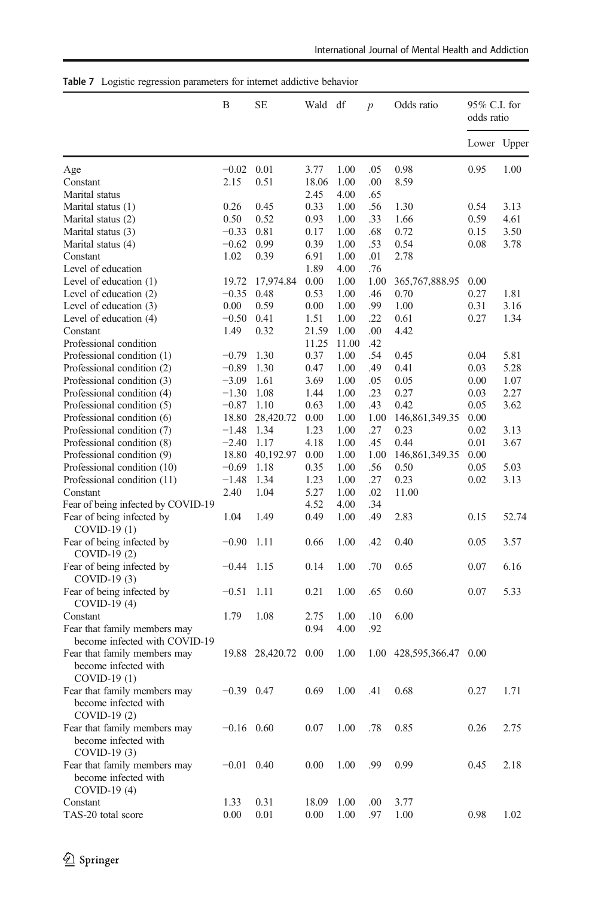|                                                                      | B            | SЕ        | Wald df        |       | $\boldsymbol{p}$ | Odds ratio          | 95% C.I. for<br>odds ratio |       |
|----------------------------------------------------------------------|--------------|-----------|----------------|-------|------------------|---------------------|----------------------------|-------|
|                                                                      |              |           |                |       |                  |                     | Lower Upper                |       |
| Age                                                                  | $-0.02$      | 0.01      | 3.77           | 1.00  | .05              | 0.98                | 0.95                       | 1.00  |
| Constant                                                             | 2.15         | 0.51      | 18.06          | 1.00  | .00              | 8.59                |                            |       |
| Marital status                                                       |              |           | 2.45           | 4.00  | .65              |                     |                            |       |
| Marital status (1)                                                   | 0.26         | 0.45      | 0.33           | 1.00  | .56              | 1.30                | 0.54                       | 3.13  |
| Marital status (2)                                                   | 0.50         | 0.52      | 0.93           | 1.00  | .33              | 1.66                | 0.59                       | 4.61  |
| Marital status (3)                                                   | $-0.33$      | 0.81      | 0.17           | 1.00  | .68              | 0.72                | 0.15                       | 3.50  |
| Marital status (4)                                                   | $-0.62$      | 0.99      | 0.39           | 1.00  | .53              | 0.54                | 0.08                       | 3.78  |
| Constant                                                             | 1.02         | 0.39      | 6.91           | 1.00  | .01              | 2.78                |                            |       |
| Level of education                                                   |              |           | 1.89           | 4.00  | .76              |                     |                            |       |
| Level of education (1)                                               | 19.72        | 17,974.84 | 0.00           | 1.00  | 1.00             | 365, 767, 888. 95   | 0.00                       |       |
| Level of education (2)                                               | $-0.35$      | 0.48      | 0.53           | 1.00  | .46              | 0.70                | 0.27                       | 1.81  |
| Level of education (3)                                               | 0.00         | 0.59      | 0.00           | 1.00  | .99              | 1.00                | 0.31                       | 3.16  |
|                                                                      | $-0.50$      | 0.41      | 1.51           | 1.00  | .22              | 0.61                | 0.27                       | 1.34  |
| Level of education (4)<br>Constant                                   |              | 0.32      |                | 1.00  | .00              | 4.42                |                            |       |
|                                                                      | 1.49         |           | 21.59<br>11.25 |       | .42              |                     |                            |       |
| Professional condition                                               |              |           |                | 11.00 |                  |                     |                            |       |
| Professional condition (1)                                           | $-0.79$      | 1.30      | 0.37           | 1.00  | .54              | 0.45                | 0.04                       | 5.81  |
| Professional condition (2)                                           | $-0.89$      | 1.30      | 0.47           | 1.00  | .49              | 0.41                | 0.03                       | 5.28  |
| Professional condition (3)                                           | $-3.09$      | 1.61      | 3.69           | 1.00  | .05              | 0.05                | 0.00                       | 1.07  |
| Professional condition (4)                                           | $-1.30$      | 1.08      | 1.44           | 1.00  | .23              | 0.27                | 0.03                       | 2.27  |
| Professional condition (5)                                           | $-0.87$      | 1.10      | 0.63           | 1.00  | .43              | 0.42                | 0.05                       | 3.62  |
| Professional condition (6)                                           | 18.80        | 28,420.72 | 0.00           | 1.00  | 1.00             | 146,861,349.35      | 0.00                       |       |
| Professional condition (7)                                           | $-1.48$      | 1.34      | 1.23           | 1.00  | .27              | 0.23                | 0.02                       | 3.13  |
| Professional condition (8)                                           | $-2.40$      | 1.17      | 4.18           | 1.00  | .45              | 0.44                | 0.01                       | 3.67  |
| Professional condition (9)                                           | 18.80        | 40,192.97 | 0.00           | 1.00  | 1.00             | 146,861,349.35      | 0.00                       |       |
| Professional condition (10)                                          | $-0.69$      | 1.18      | 0.35           | 1.00  | .56              | 0.50                | 0.05                       | 5.03  |
| Professional condition (11)                                          | $-1.48$      | 1.34      | 1.23           | 1.00  | .27              | 0.23                | 0.02                       | 3.13  |
| Constant                                                             | 2.40         | 1.04      | 5.27           | 1.00  | .02              | 11.00               |                            |       |
| Fear of being infected by COVID-19                                   |              |           | 4.52           | 4.00  | .34              |                     |                            |       |
| Fear of being infected by                                            | 1.04         | 1.49      | 0.49           | 1.00  | .49              | 2.83                | 0.15                       | 52.74 |
| COVID-19 (1)                                                         |              |           |                |       |                  |                     |                            |       |
| Fear of being infected by<br>COVID-19 (2)                            | $-0.90$      | 1.11      | 0.66           | 1.00  | .42              | 0.40                | 0.05                       | 3.57  |
| Fear of being infected by                                            | $-0.44$      | 1.15      | 0.14           | 1.00  | .70              | 0.65                | 0.07                       | 6.16  |
| COVID-19 (3)                                                         |              |           |                |       |                  |                     |                            |       |
| Fear of being infected by                                            | $-0.51$      | 1.11      | 0.21           | 1.00  | .65              | 0.60                | 0.07                       | 5.33  |
| $COVID-19(4)$                                                        |              |           |                |       |                  |                     |                            |       |
| Constant                                                             | 1.79         | 1.08      | 2.75           | 1.00  | .10              | 6.00                |                            |       |
| Fear that family members may<br>become infected with COVID-19        |              |           | 0.94           | 4.00  | .92              |                     |                            |       |
| Fear that family members may<br>become infected with<br>COVID-19 (1) | 19.88        | 28,420.72 | 0.00           | 1.00  | 1.00             | 428,595,366.47 0.00 |                            |       |
| Fear that family members may<br>become infected with<br>COVID-19 (2) | $-0.39$ 0.47 |           | 0.69           | 1.00  | .41              | 0.68                | 0.27                       | 1.71  |
| Fear that family members may<br>become infected with                 | $-0.16$ 0.60 |           | 0.07           | 1.00  | .78              | 0.85                | 0.26                       | 2.75  |
| $COVID-19(3)$<br>Fear that family members may                        | $-0.01$ 0.40 |           | 0.00           | 1.00  | .99              | 0.99                | 0.45                       | 2.18  |
| become infected with<br>COVID-19 (4)                                 |              |           |                |       |                  |                     |                            |       |
| Constant                                                             | 1.33         | 0.31      | 18.09          | 1.00  | .00              | 3.77                |                            |       |
| TAS-20 total score                                                   | 0.00         | $0.01\,$  | 0.00           | 1.00  | .97              | 1.00                | 0.98                       | 1.02  |

<span id="page-11-0"></span>

|  |  |  | <b>Table 7</b> Logistic regression parameters for internet addictive behavior |  |  |  |  |
|--|--|--|-------------------------------------------------------------------------------|--|--|--|--|
|--|--|--|-------------------------------------------------------------------------------|--|--|--|--|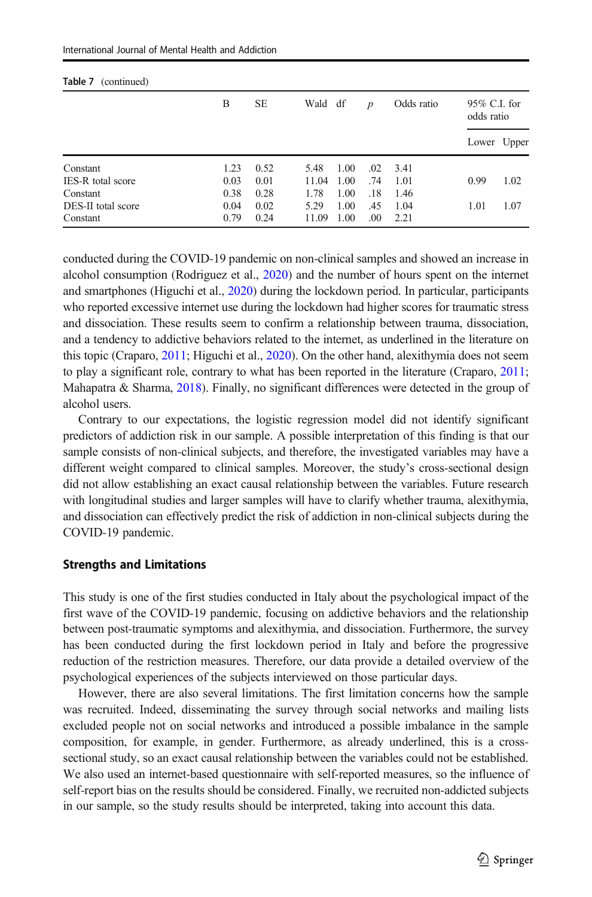| Table 7<br>(continued)   |      |           |         |      |                  |            |                            |             |
|--------------------------|------|-----------|---------|------|------------------|------------|----------------------------|-------------|
|                          | В    | <b>SE</b> | Wald df |      | $\boldsymbol{p}$ | Odds ratio | 95% C.I. for<br>odds ratio |             |
|                          |      |           |         |      |                  |            |                            | Lower Upper |
| Constant                 | 1.23 | 0.52      | 5.48    | 1.00 | .02              | 3.41       |                            |             |
| <b>IES-R</b> total score | 0.03 | 0.01      | 11.04   | 1.00 | .74              | 1.01       | 0.99                       | 1.02        |
| Constant                 | 0.38 | 0.28      | 1.78    | 1.00 | .18              | 1.46       |                            |             |
| DES-II total score       | 0.04 | 0.02      | 5.29    | 1.00 | .45              | 1.04       | 1.01                       | 1.07        |
| Constant                 | 0.79 | 0.24      | 11.09   | 1.00 | .00              | 2.21       |                            |             |

conducted during the COVID-19 pandemic on non-clinical samples and showed an increase in alcohol consumption (Rodriguez et al., [2020\)](#page-15-0) and the number of hours spent on the internet and smartphones (Higuchi et al., [2020\)](#page-14-0) during the lockdown period. In particular, participants who reported excessive internet use during the lockdown had higher scores for traumatic stress and dissociation. These results seem to confirm a relationship between trauma, dissociation, and a tendency to addictive behaviors related to the internet, as underlined in the literature on this topic (Craparo, [2011;](#page-14-0) Higuchi et al., [2020](#page-14-0)). On the other hand, alexithymia does not seem to play a significant role, contrary to what has been reported in the literature (Craparo, [2011](#page-14-0); Mahapatra & Sharma, [2018\)](#page-15-0). Finally, no significant differences were detected in the group of alcohol users.

Contrary to our expectations, the logistic regression model did not identify significant predictors of addiction risk in our sample. A possible interpretation of this finding is that our sample consists of non-clinical subjects, and therefore, the investigated variables may have a different weight compared to clinical samples. Moreover, the study's cross-sectional design did not allow establishing an exact causal relationship between the variables. Future research with longitudinal studies and larger samples will have to clarify whether trauma, alexithymia, and dissociation can effectively predict the risk of addiction in non-clinical subjects during the COVID-19 pandemic.

#### Strengths and Limitations

This study is one of the first studies conducted in Italy about the psychological impact of the first wave of the COVID-19 pandemic, focusing on addictive behaviors and the relationship between post-traumatic symptoms and alexithymia, and dissociation. Furthermore, the survey has been conducted during the first lockdown period in Italy and before the progressive reduction of the restriction measures. Therefore, our data provide a detailed overview of the psychological experiences of the subjects interviewed on those particular days.

However, there are also several limitations. The first limitation concerns how the sample was recruited. Indeed, disseminating the survey through social networks and mailing lists excluded people not on social networks and introduced a possible imbalance in the sample composition, for example, in gender. Furthermore, as already underlined, this is a crosssectional study, so an exact causal relationship between the variables could not be established. We also used an internet-based questionnaire with self-reported measures, so the influence of self-report bias on the results should be considered. Finally, we recruited non-addicted subjects in our sample, so the study results should be interpreted, taking into account this data.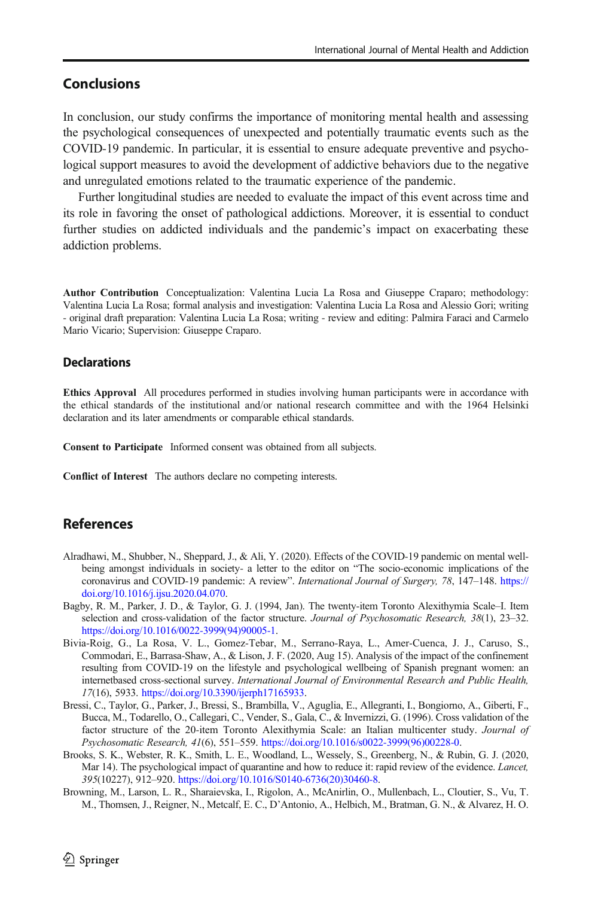# <span id="page-13-0"></span>**Conclusions**

In conclusion, our study confirms the importance of monitoring mental health and assessing the psychological consequences of unexpected and potentially traumatic events such as the COVID-19 pandemic. In particular, it is essential to ensure adequate preventive and psychological support measures to avoid the development of addictive behaviors due to the negative and unregulated emotions related to the traumatic experience of the pandemic.

Further longitudinal studies are needed to evaluate the impact of this event across time and its role in favoring the onset of pathological addictions. Moreover, it is essential to conduct further studies on addicted individuals and the pandemic's impact on exacerbating these addiction problems.

Author Contribution Conceptualization: Valentina Lucia La Rosa and Giuseppe Craparo; methodology: Valentina Lucia La Rosa; formal analysis and investigation: Valentina Lucia La Rosa and Alessio Gori; writing - original draft preparation: Valentina Lucia La Rosa; writing - review and editing: Palmira Faraci and Carmelo Mario Vicario; Supervision: Giuseppe Craparo.

#### **Declarations**

Ethics Approval All procedures performed in studies involving human participants were in accordance with the ethical standards of the institutional and/or national research committee and with the 1964 Helsinki declaration and its later amendments or comparable ethical standards.

Consent to Participate Informed consent was obtained from all subjects.

Conflict of Interest The authors declare no competing interests.

## References

- Alradhawi, M., Shubber, N., Sheppard, J., & Ali, Y. (2020). Effects of the COVID-19 pandemic on mental wellbeing amongst individuals in society- a letter to the editor on "The socio-economic implications of the coronavirus and COVID-19 pandemic: A review". International Journal of Surgery, 78, 147–148. [https://](https://doi.org/10.1016/j.ijsu.2020.04.070) [doi.org/10.1016/j.ijsu.2020.04.070](https://doi.org/10.1016/j.ijsu.2020.04.070).
- Bagby, R. M., Parker, J. D., & Taylor, G. J. (1994, Jan). The twenty-item Toronto Alexithymia Scale–I. Item selection and cross-validation of the factor structure. Journal of Psychosomatic Research, 38(1), 23–32. [https://doi.org/10.1016/0022-3999\(94\)90005-1.](https://doi.org/10.1016/0022-3999(94)90005-1)
- Bivia-Roig, G., La Rosa, V. L., Gomez-Tebar, M., Serrano-Raya, L., Amer-Cuenca, J. J., Caruso, S., Commodari, E., Barrasa-Shaw, A., & Lison, J. F. (2020, Aug 15). Analysis of the impact of the confinement resulting from COVID-19 on the lifestyle and psychological wellbeing of Spanish pregnant women: an internetbased cross-sectional survey. International Journal of Environmental Research and Public Health, 17(16), 5933. <https://doi.org/10.3390/ijerph17165933>.
- Bressi, C., Taylor, G., Parker, J., Bressi, S., Brambilla, V., Aguglia, E., Allegranti, I., Bongiorno, A., Giberti, F., Bucca, M., Todarello, O., Callegari, C., Vender, S., Gala, C., & Invernizzi, G. (1996). Cross validation of the factor structure of the 20-item Toronto Alexithymia Scale: an Italian multicenter study. Journal of Psychosomatic Research, 41(6), 551–559. [https://doi.org/10.1016/s0022-3999\(96\)00228-0](https://doi.org/10.1016/s0022-3999(96)00228-0).
- Brooks, S. K., Webster, R. K., Smith, L. E., Woodland, L., Wessely, S., Greenberg, N., & Rubin, G. J. (2020, Mar 14). The psychological impact of quarantine and how to reduce it: rapid review of the evidence. *Lancet*, 395(10227), 912–920. [https://doi.org/10.1016/S0140-6736\(20\)30460-8.](https://doi.org/10.1016/S0140-6736(20)30460-8)
- Browning, M., Larson, L. R., Sharaievska, I., Rigolon, A., McAnirlin, O., Mullenbach, L., Cloutier, S., Vu, T. M., Thomsen, J., Reigner, N., Metcalf, E. C., D'Antonio, A., Helbich, M., Bratman, G. N., & Alvarez, H. O.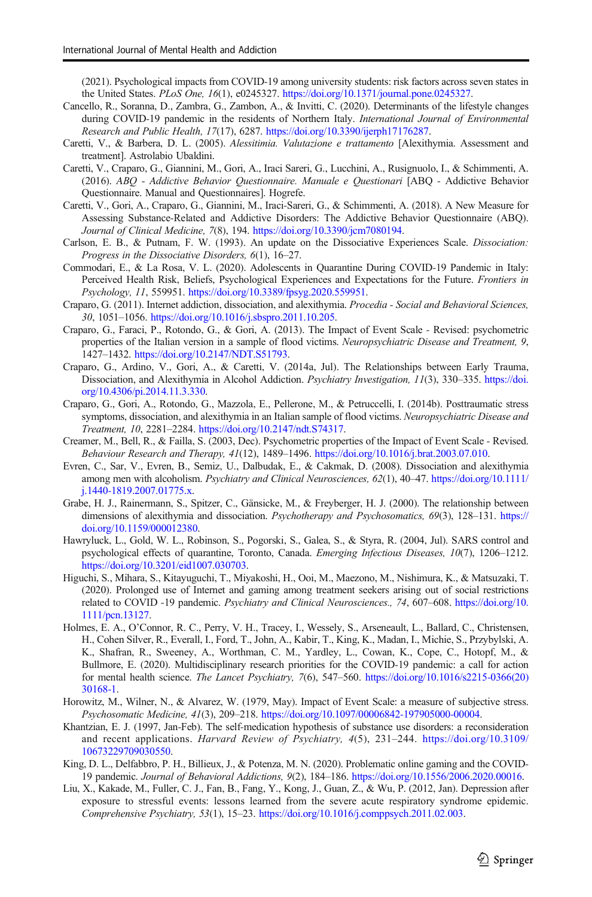<span id="page-14-0"></span>(2021). Psychological impacts from COVID-19 among university students: risk factors across seven states in the United States. PLoS One, 16(1), e0245327. [https://doi.org/10.1371/journal.pone.0245327.](https://doi.org/10.1371/journal.pone.0245327)

- Cancello, R., Soranna, D., Zambra, G., Zambon, A., & Invitti, C. (2020). Determinants of the lifestyle changes during COVID-19 pandemic in the residents of Northern Italy. *International Journal of Environmental* Research and Public Health, 17(17), 6287. <https://doi.org/10.3390/ijerph17176287>.
- Caretti, V., & Barbera, D. L. (2005). Alessitimia. Valutazione e trattamento [Alexithymia. Assessment and treatment]. Astrolabio Ubaldini.
- Caretti, V., Craparo, G., Giannini, M., Gori, A., Iraci Sareri, G., Lucchini, A., Rusignuolo, I., & Schimmenti, A. (2016). ABQ - Addictive Behavior Questionnaire. Manuale e Questionari [ABQ - Addictive Behavior Questionnaire. Manual and Questionnaires]. Hogrefe.
- Caretti, V., Gori, A., Craparo, G., Giannini, M., Iraci-Sareri, G., & Schimmenti, A. (2018). A New Measure for Assessing Substance-Related and Addictive Disorders: The Addictive Behavior Questionnaire (ABQ). Journal of Clinical Medicine, 7(8), 194. <https://doi.org/10.3390/jcm7080194>.
- Carlson, E. B., & Putnam, F. W. (1993). An update on the Dissociative Experiences Scale. Dissociation: Progress in the Dissociative Disorders, 6(1), 16–27.
- Commodari, E., & La Rosa, V. L. (2020). Adolescents in Quarantine During COVID-19 Pandemic in Italy: Perceived Health Risk, Beliefs, Psychological Experiences and Expectations for the Future. Frontiers in Psychology, 11, 559951. [https://doi.org/10.3389/fpsyg.2020.559951.](https://doi.org/10.3389/fpsyg.2020.559951)
- Craparo, G. (2011). Internet addiction, dissociation, and alexithymia. Procedia Social and Behavioral Sciences, 30, 1051–1056. <https://doi.org/10.1016/j.sbspro.2011.10.205>.
- Craparo, G., Faraci, P., Rotondo, G., & Gori, A. (2013). The Impact of Event Scale Revised: psychometric properties of the Italian version in a sample of flood victims. Neuropsychiatric Disease and Treatment, 9, 1427–1432. <https://doi.org/10.2147/NDT.S51793>.
- Craparo, G., Ardino, V., Gori, A., & Caretti, V. (2014a, Jul). The Relationships between Early Trauma, Dissociation, and Alexithymia in Alcohol Addiction. Psychiatry Investigation, 11(3), 330–335. [https://doi.](https://doi.org/10.4306/pi.2014.11.3.330) [org/10.4306/pi.2014.11.3.330](https://doi.org/10.4306/pi.2014.11.3.330).
- Craparo, G., Gori, A., Rotondo, G., Mazzola, E., Pellerone, M., & Petruccelli, I. (2014b). Posttraumatic stress symptoms, dissociation, and alexithymia in an Italian sample of flood victims. Neuropsychiatric Disease and Treatment, 10, 2281–2284. <https://doi.org/10.2147/ndt.S74317>.
- Creamer, M., Bell, R., & Failla, S. (2003, Dec). Psychometric properties of the Impact of Event Scale Revised. Behaviour Research and Therapy, 41(12), 1489–1496. <https://doi.org/10.1016/j.brat.2003.07.010>.
- Evren, C., Sar, V., Evren, B., Semiz, U., Dalbudak, E., & Cakmak, D. (2008). Dissociation and alexithymia among men with alcoholism. Psychiatry and Clinical Neurosciences, 62(1), 40–47. [https://doi.org/10.1111/](https://doi.org/10.1111/j.1440-1819.2007.01775.x) [j.1440-1819.2007.01775.x.](https://doi.org/10.1111/j.1440-1819.2007.01775.x)
- Grabe, H. J., Rainermann, S., Spitzer, C., Gänsicke, M., & Freyberger, H. J. (2000). The relationship between dimensions of alexithymia and dissociation. Psychotherapy and Psychosomatics, 69(3), 128-131. [https://](https://doi.org/10.1159/000012380) [doi.org/10.1159/000012380.](https://doi.org/10.1159/000012380)
- Hawryluck, L., Gold, W. L., Robinson, S., Pogorski, S., Galea, S., & Styra, R. (2004, Jul). SARS control and psychological effects of quarantine, Toronto, Canada. Emerging Infectious Diseases, 10(7), 1206–1212. [https://doi.org/10.3201/eid1007.030703.](https://doi.org/10.3201/eid1007.030703)
- Higuchi, S., Mihara, S., Kitayuguchi, T., Miyakoshi, H., Ooi, M., Maezono, M., Nishimura, K., & Matsuzaki, T. (2020). Prolonged use of Internet and gaming among treatment seekers arising out of social restrictions related to COVID -19 pandemic. Psychiatry and Clinical Neurosciences., 74, 607–608. [https://doi.org/10.](https://doi.org/10.1111/pcn.13127) [1111/pcn.13127.](https://doi.org/10.1111/pcn.13127)
- Holmes, E. A., O'Connor, R. C., Perry, V. H., Tracey, I., Wessely, S., Arseneault, L., Ballard, C., Christensen, H., Cohen Silver, R., Everall, I., Ford, T., John, A., Kabir, T., King, K., Madan, I., Michie, S., Przybylski, A. K., Shafran, R., Sweeney, A., Worthman, C. M., Yardley, L., Cowan, K., Cope, C., Hotopf, M., & Bullmore, E. (2020). Multidisciplinary research priorities for the COVID-19 pandemic: a call for action for mental health science. The Lancet Psychiatry, 7(6), 547–560. [https://doi.org/10.1016/s2215-0366\(20\)](https://doi.org/10.1016/s2215-0366(20)30168-1) [30168-1](https://doi.org/10.1016/s2215-0366(20)30168-1).
- Horowitz, M., Wilner, N., & Alvarez, W. (1979, May). Impact of Event Scale: a measure of subjective stress. Psychosomatic Medicine, 41(3), 209–218. <https://doi.org/10.1097/00006842-197905000-00004>.
- Khantzian, E. J. (1997, Jan-Feb). The self-medication hypothesis of substance use disorders: a reconsideration and recent applications. Harvard Review of Psychiatry, 4(5), 231–244. [https://doi.org/10.3109/](https://doi.org/10.3109/10673229709030550) [10673229709030550.](https://doi.org/10.3109/10673229709030550)
- King, D. L., Delfabbro, P. H., Billieux, J., & Potenza, M. N. (2020). Problematic online gaming and the COVID-19 pandemic. Journal of Behavioral Addictions, 9(2), 184–186. [https://doi.org/10.1556/2006.2020.00016.](https://doi.org/10.1556/2006.2020.00016)
- Liu, X., Kakade, M., Fuller, C. J., Fan, B., Fang, Y., Kong, J., Guan, Z., & Wu, P. (2012, Jan). Depression after exposure to stressful events: lessons learned from the severe acute respiratory syndrome epidemic. Comprehensive Psychiatry, 53(1), 15–23. <https://doi.org/10.1016/j.comppsych.2011.02.003>.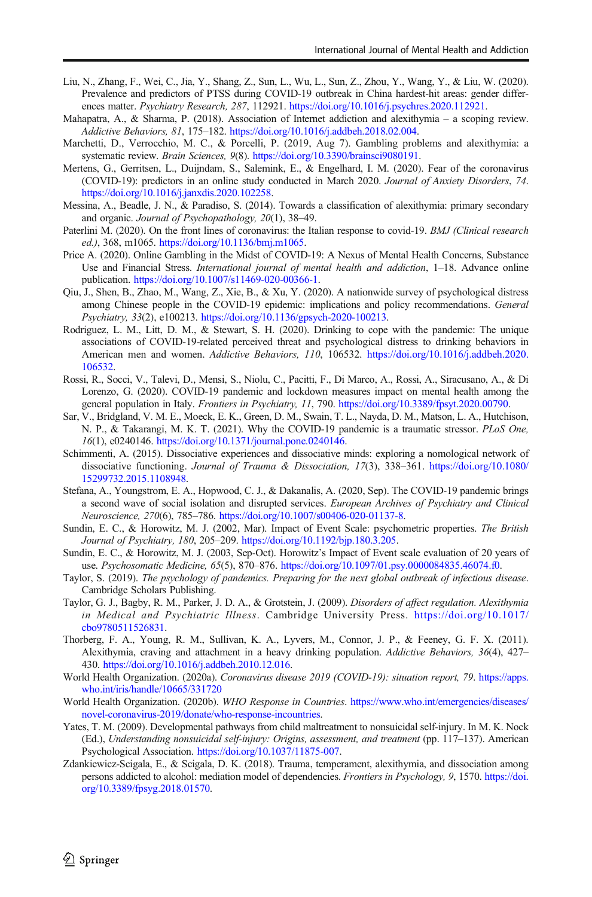- <span id="page-15-0"></span>Liu, N., Zhang, F., Wei, C., Jia, Y., Shang, Z., Sun, L., Wu, L., Sun, Z., Zhou, Y., Wang, Y., & Liu, W. (2020). Prevalence and predictors of PTSS during COVID-19 outbreak in China hardest-hit areas: gender differences matter. Psychiatry Research, 287, 112921. <https://doi.org/10.1016/j.psychres.2020.112921>.
- Mahapatra, A., & Sharma, P. (2018). Association of Internet addiction and alexithymia a scoping review. Addictive Behaviors, 81, 175–182. <https://doi.org/10.1016/j.addbeh.2018.02.004>.
- Marchetti, D., Verrocchio, M. C., & Porcelli, P. (2019, Aug 7). Gambling problems and alexithymia: a systematic review. Brain Sciences, 9(8). [https://doi.org/10.3390/brainsci9080191.](https://doi.org/10.3390/brainsci9080191)
- Mertens, G., Gerritsen, L., Duijndam, S., Salemink, E., & Engelhard, I. M. (2020). Fear of the coronavirus (COVID-19): predictors in an online study conducted in March 2020. Journal of Anxiety Disorders, 74. <https://doi.org/10.1016/j.janxdis.2020.102258>.
- Messina, A., Beadle, J. N., & Paradiso, S. (2014). Towards a classification of alexithymia: primary secondary and organic. Journal of Psychopathology, 20(1), 38–49.
- Paterlini M. (2020). On the front lines of coronavirus: the Italian response to covid-19. BMJ (Clinical research ed.), 368, m1065. [https://doi.org/10.1136/bmj.m1065.](https://doi.org/10.1136/bmj.m1065)
- Price A. (2020). Online Gambling in the Midst of COVID-19: A Nexus of Mental Health Concerns, Substance Use and Financial Stress. International journal of mental health and addiction, 1-18. Advance online publication. <https://doi.org/10.1007/s11469-020-00366-1>.
- Qiu, J., Shen, B., Zhao, M., Wang, Z., Xie, B., & Xu, Y. (2020). A nationwide survey of psychological distress among Chinese people in the COVID-19 epidemic: implications and policy recommendations. General Psychiatry, 33(2), e100213. [https://doi.org/10.1136/gpsych-2020-100213.](https://doi.org/10.1136/gpsych-2020-100213)
- Rodriguez, L. M., Litt, D. M., & Stewart, S. H. (2020). Drinking to cope with the pandemic: The unique associations of COVID-19-related perceived threat and psychological distress to drinking behaviors in American men and women. Addictive Behaviors, 110, 106532. [https://doi.org/10.1016/j.addbeh.2020.](https://doi.org/10.1016/j.addbeh.2020.106532) [106532.](https://doi.org/10.1016/j.addbeh.2020.106532)
- Rossi, R., Socci, V., Talevi, D., Mensi, S., Niolu, C., Pacitti, F., Di Marco, A., Rossi, A., Siracusano, A., & Di Lorenzo, G. (2020). COVID-19 pandemic and lockdown measures impact on mental health among the general population in Italy. Frontiers in Psychiatry, 11, 790. <https://doi.org/10.3389/fpsyt.2020.00790>.
- Sar, V., Bridgland, V. M. E., Moeck, E. K., Green, D. M., Swain, T. L., Nayda, D. M., Matson, L. A., Hutchison, N. P., & Takarangi, M. K. T. (2021). Why the COVID-19 pandemic is a traumatic stressor. PLoS One, 16(1), e0240146. [https://doi.org/10.1371/journal.pone.0240146.](https://doi.org/10.1371/journal.pone.0240146)
- Schimmenti, A. (2015). Dissociative experiences and dissociative minds: exploring a nomological network of dissociative functioning. Journal of Trauma & Dissociation, 17(3), 338–361. [https://doi.org/10.1080/](https://doi.org/10.1080/15299732.2015.1108948) [15299732.2015.1108948](https://doi.org/10.1080/15299732.2015.1108948).
- Stefana, A., Youngstrom, E. A., Hopwood, C. J., & Dakanalis, A. (2020, Sep). The COVID-19 pandemic brings a second wave of social isolation and disrupted services. European Archives of Psychiatry and Clinical Neuroscience, 270(6), 785–786. [https://doi.org/10.1007/s00406-020-01137-8.](https://doi.org/10.1007/s00406-020-01137-8)
- Sundin, E. C., & Horowitz, M. J. (2002, Mar). Impact of Event Scale: psychometric properties. The British Journal of Psychiatry, 180, 205–209. <https://doi.org/10.1192/bjp.180.3.205>.
- Sundin, E. C., & Horowitz, M. J. (2003, Sep-Oct). Horowitz's Impact of Event scale evaluation of 20 years of use. Psychosomatic Medicine, 65(5), 870–876. <https://doi.org/10.1097/01.psy.0000084835.46074.f0>.
- Taylor, S. (2019). The psychology of pandemics. Preparing for the next global outbreak of infectious disease. Cambridge Scholars Publishing.
- Taylor, G. J., Bagby, R. M., Parker, J. D. A., & Grotstein, J. (2009). Disorders of affect regulation. Alexithymia in Medical and Psychiatric Illness. Cambridge University Press. [https://doi.org/10.1017/](https://doi.org/10.1017/cbo9780511526831) [cbo9780511526831](https://doi.org/10.1017/cbo9780511526831).
- Thorberg, F. A., Young, R. M., Sullivan, K. A., Lyvers, M., Connor, J. P., & Feeney, G. F. X. (2011). Alexithymia, craving and attachment in a heavy drinking population. Addictive Behaviors, 36(4), 427– 430. <https://doi.org/10.1016/j.addbeh.2010.12.016>.
- World Health Organization. (2020a). Coronavirus disease 2019 (COVID-19): situation report, 79. [https://apps.](https://apps.who.int/iris/handle/10665/331720) [who.int/iris/handle/10665/331720](https://apps.who.int/iris/handle/10665/331720)
- World Health Organization. (2020b). WHO Response in Countries. [https://www.who.int/emergencies/diseases/](https://www.who.int/emergencies/diseases/novel-coronavirus-2019/donate/who-response-incountries) [novel-coronavirus-2019/donate/who-response-incountries.](https://www.who.int/emergencies/diseases/novel-coronavirus-2019/donate/who-response-incountries)
- Yates, T. M. (2009). Developmental pathways from child maltreatment to nonsuicidal self-injury. In M. K. Nock (Ed.), Understanding nonsuicidal self-injury: Origins, assessment, and treatment (pp. 117–137). American Psychological Association. [https://doi.org/10.1037/11875-007.](https://doi.org/10.1037/11875-007)
- Zdankiewicz-Scigala, E., & Scigala, D. K. (2018). Trauma, temperament, alexithymia, and dissociation among persons addicted to alcohol: mediation model of dependencies. Frontiers in Psychology, 9, 1570. [https://doi.](https://doi.org/10.3389/fpsyg.2018.01570) [org/10.3389/fpsyg.2018.01570.](https://doi.org/10.3389/fpsyg.2018.01570)